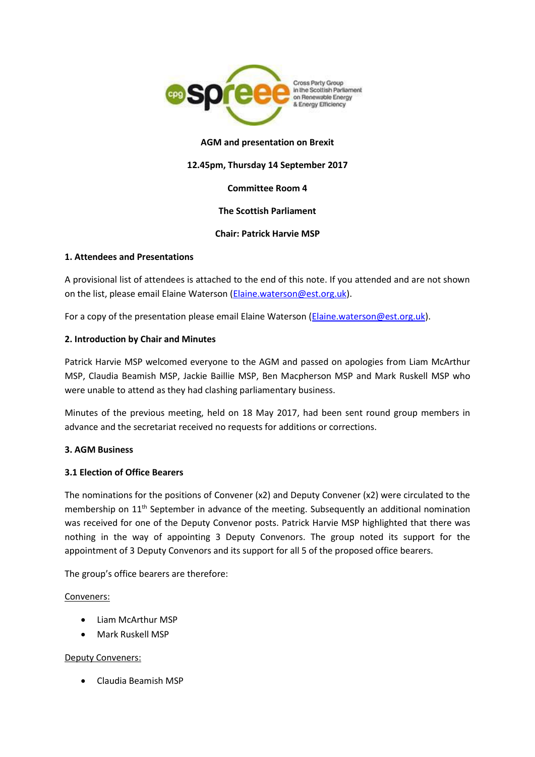

### **AGM and presentation on Brexit**

### **12.45pm, Thursday 14 September 2017**

### **Committee Room 4**

### **The Scottish Parliament**

### **Chair: Patrick Harvie MSP**

#### **1. Attendees and Presentations**

A provisional list of attendees is attached to the end of this note. If you attended and are not shown on the list, please email Elaine Waterson [\(Elaine.waterson@est.org.uk\)](mailto:Elaine.waterson@est.org.uk).

For a copy of the presentation please email Elaine Waterson [\(Elaine.waterson@est.org.uk\)](mailto:Elaine.waterson@est.org.uk).

### **2. Introduction by Chair and Minutes**

Patrick Harvie MSP welcomed everyone to the AGM and passed on apologies from Liam McArthur MSP, Claudia Beamish MSP, Jackie Baillie MSP, Ben Macpherson MSP and Mark Ruskell MSP who were unable to attend as they had clashing parliamentary business.

Minutes of the previous meeting, held on 18 May 2017, had been sent round group members in advance and the secretariat received no requests for additions or corrections.

#### **3. AGM Business**

#### **3.1 Election of Office Bearers**

The nominations for the positions of Convener (x2) and Deputy Convener (x2) were circulated to the membership on  $11<sup>th</sup>$  September in advance of the meeting. Subsequently an additional nomination was received for one of the Deputy Convenor posts. Patrick Harvie MSP highlighted that there was nothing in the way of appointing 3 Deputy Convenors. The group noted its support for the appointment of 3 Deputy Convenors and its support for all 5 of the proposed office bearers.

The group's office bearers are therefore:

#### Conveners:

- Liam McArthur MSP
- Mark Ruskell MSP

#### Deputy Conveners:

Claudia Beamish MSP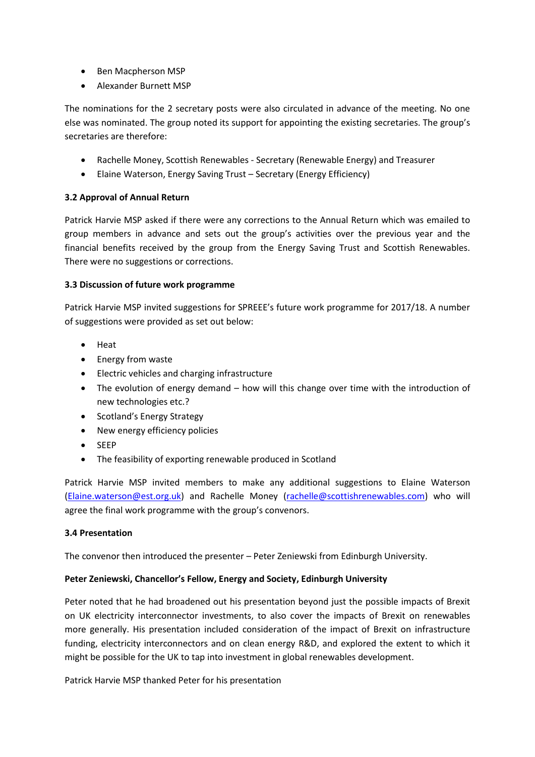- Ben Macpherson MSP
- Alexander Burnett MSP

The nominations for the 2 secretary posts were also circulated in advance of the meeting. No one else was nominated. The group noted its support for appointing the existing secretaries. The group's secretaries are therefore:

- Rachelle Money, Scottish Renewables Secretary (Renewable Energy) and Treasurer
- Elaine Waterson, Energy Saving Trust Secretary (Energy Efficiency)

# **3.2 Approval of Annual Return**

Patrick Harvie MSP asked if there were any corrections to the Annual Return which was emailed to group members in advance and sets out the group's activities over the previous year and the financial benefits received by the group from the Energy Saving Trust and Scottish Renewables. There were no suggestions or corrections.

# **3.3 Discussion of future work programme**

Patrick Harvie MSP invited suggestions for SPREEE's future work programme for 2017/18. A number of suggestions were provided as set out below:

- Heat
- Energy from waste
- Electric vehicles and charging infrastructure
- The evolution of energy demand how will this change over time with the introduction of new technologies etc.?
- Scotland's Energy Strategy
- New energy efficiency policies
- SEEP
- The feasibility of exporting renewable produced in Scotland

Patrick Harvie MSP invited members to make any additional suggestions to Elaine Waterson [\(Elaine.waterson@est.org.uk\)](mailto:Elaine.waterson@est.org.uk) and Rachelle Money [\(rachelle@scottishrenewables.com\)](mailto:rachelle@scottishrenewables.com) who will agree the final work programme with the group's convenors.

# **3.4 Presentation**

The convenor then introduced the presenter – Peter Zeniewski from Edinburgh University.

# **Peter Zeniewski, Chancellor's Fellow, Energy and Society, Edinburgh University**

Peter noted that he had broadened out his presentation beyond just the possible impacts of Brexit on UK electricity interconnector investments, to also cover the impacts of Brexit on renewables more generally. His presentation included consideration of the impact of Brexit on infrastructure funding, electricity interconnectors and on clean energy R&D, and explored the extent to which it might be possible for the UK to tap into investment in global renewables development.

Patrick Harvie MSP thanked Peter for his presentation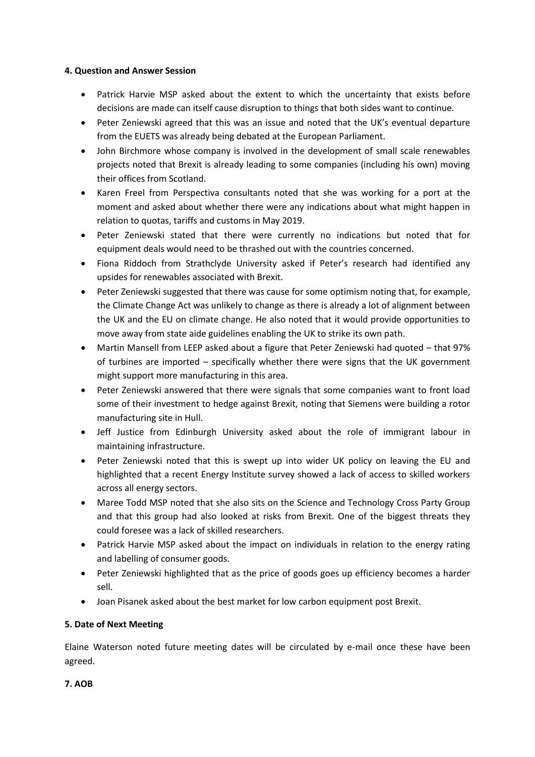### **4. Question and Answer Session**

- Patrick Harvie MSP asked about the extent to which the uncertainty that exists before decisions are made can itself cause disruption to things that both sides want to continue.
- Peter Zeniewski agreed that this was an issue and noted that the UK's eventual departure from the EUETS was already being debated at the European Parliament.
- John Birchmore whose company is involved in the development of small scale renewables projects noted that Brexit is already leading to some companies (including his own) moving their offices from Scotland.
- Karen Freel from Perspectiva consultants noted that she was working for a port at the moment and asked about whether there were any indications about what might happen in relation to quotas, tariffs and customs in May 2019.
- Peter Zeniewski stated that there were currently no indications but noted that for equipment deals would need to be thrashed out with the countries concerned.
- Fiona Riddoch from Strathclyde University asked if Peter's research had identified any upsides for renewables associated with Brexit.
- Peter Zeniewski suggested that there was cause for some optimism noting that, for example, the Climate Change Act was unlikely to change as there is already a lot of alignment between the UK and the EU on climate change. He also noted that it would provide opportunities to move away from state aide guidelines enabling the UK to strike its own path.
- Martin Mansell from LEEP asked about a figure that Peter Zeniewski had quoted that 97% of turbines are imported – specifically whether there were signs that the UK government might support more manufacturing in this area.
- Peter Zeniewski answered that there were signals that some companies want to front load some of their investment to hedge against Brexit, noting that Siemens were building a rotor manufacturing site in Hull.
- Jeff Justice from Edinburgh University asked about the role of immigrant labour in maintaining infrastructure.
- Peter Zeniewski noted that this is swept up into wider UK policy on leaving the EU and highlighted that a recent Energy Institute survey showed a lack of access to skilled workers across all energy sectors.
- Maree Todd MSP noted that she also sits on the Science and Technology Cross Party Group and that this group had also looked at risks from Brexit. One of the biggest threats they could foresee was a lack of skilled researchers.
- Patrick Harvie MSP asked about the impact on individuals in relation to the energy rating and labelling of consumer goods.
- Peter Zeniewski highlighted that as the price of goods goes up efficiency becomes a harder sell.
- Joan Pisanek asked about the best market for low carbon equipment post Brexit.

# **5. Date of Next Meeting**

Elaine Waterson noted future meeting dates will be circulated by e-mail once these have been agreed.

# **7. AOB**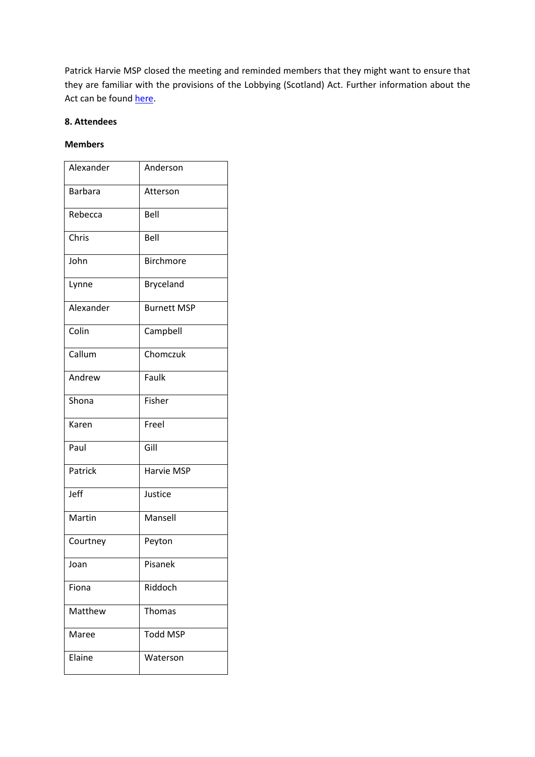Patrick Harvie MSP closed the meeting and reminded members that they might want to ensure that they are familiar with the provisions of the Lobbying (Scotland) Act. Further information about the Act can be found [here.](http://www.parliament.scot/gettinginvolved/101810.aspx)

### **8. Attendees**

# **Members**

| Alexander      | Anderson           |
|----------------|--------------------|
| <b>Barbara</b> | Atterson           |
| Rebecca        | Bell               |
| Chris          | Bell               |
| John           | <b>Birchmore</b>   |
| Lynne          | Bryceland          |
| Alexander      | <b>Burnett MSP</b> |
| Colin          | Campbell           |
| Callum         | Chomczuk           |
| Andrew         | Faulk              |
| Shona          | Fisher             |
| Karen          | Freel              |
| Paul           | Gill               |
| Patrick        | Harvie MSP         |
| Jeff           | Justice            |
| Martin         | Mansell            |
| Courtney       | Peyton             |
| Joan           | Pisanek            |
| Fiona          | Riddoch            |
| Matthew        | Thomas             |
| Maree          | <b>Todd MSP</b>    |
| Elaine         | Waterson           |